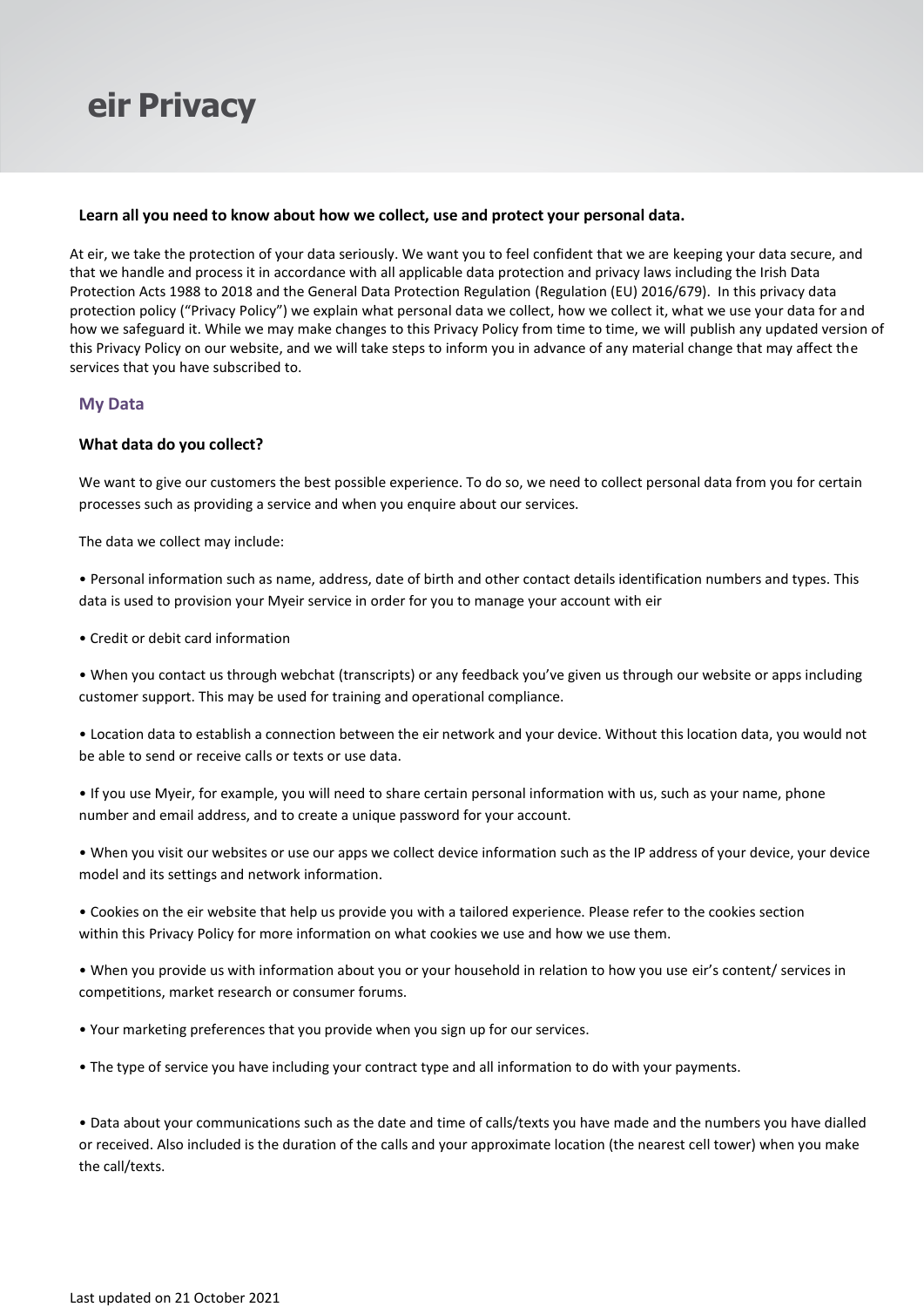## **Learn all you need to know about how we collect, use and protect your personal data.**

At eir, we take the protection of your data seriously. We want you to feel confident that we are keeping your data secure, and that we handle and process it in accordance with all applicable data protection and privacy laws including the Irish Data Protection Acts 1988 to 2018 and the General Data Protection Regulation (Regulation (EU) 2016/679). In this privacy data protection policy ("Privacy Policy") we explain what personal data we collect, how we collect it, what we use your data for and how we safeguard it. While we may make changes to this Privacy Policy from time to time, we will publish any updated version of this Privacy Policy on our website, and we will take steps to inform you in advance of any material change that may affect the services that you have subscribed to.

## **My Data**

## **What data do you collect?**

We want to give our customers the best possible experience. To do so, we need to collect personal data from you for certain processes such as providing a service and when you enquire about our services.

The data we collect may include:

• Personal information such as name, address, date of birth and other contact details identification numbers and types. This data is used to provision your Myeir service in order for you to manage your account with eir

• Credit or debit card information

• When you contact us through webchat (transcripts) or any feedback you've given us through our website or apps including customer support. This may be used for training and operational compliance.

• Location data to establish a connection between the eir network and your device. Without this location data, you would not be able to send or receive calls or texts or use data.

• If you use Myeir, for example, you will need to share certain personal information with us, such as your name, phone number and email address, and to create a unique password for your account.

• When you visit our websites or use our apps we collect device information such as the IP address of your device, your device model and its settings and network information.

• Cookies on the eir website that help us provide you with a tailored experience. Please refer to the cookies section within this Privacy Policy for more information on what cookies we use and how we use them.

• When you provide us with information about you or your household in relation to how you use eir's content/ services in competitions, market research or consumer forums.

• Your marketing preferences that you provide when you sign up for our services.

• The type of service you have including your contract type and all information to do with your payments.

• Data about your communications such as the date and time of calls/texts you have made and the numbers you have dialled or received. Also included is the duration of the calls and your approximate location (the nearest cell tower) when you make the call/texts.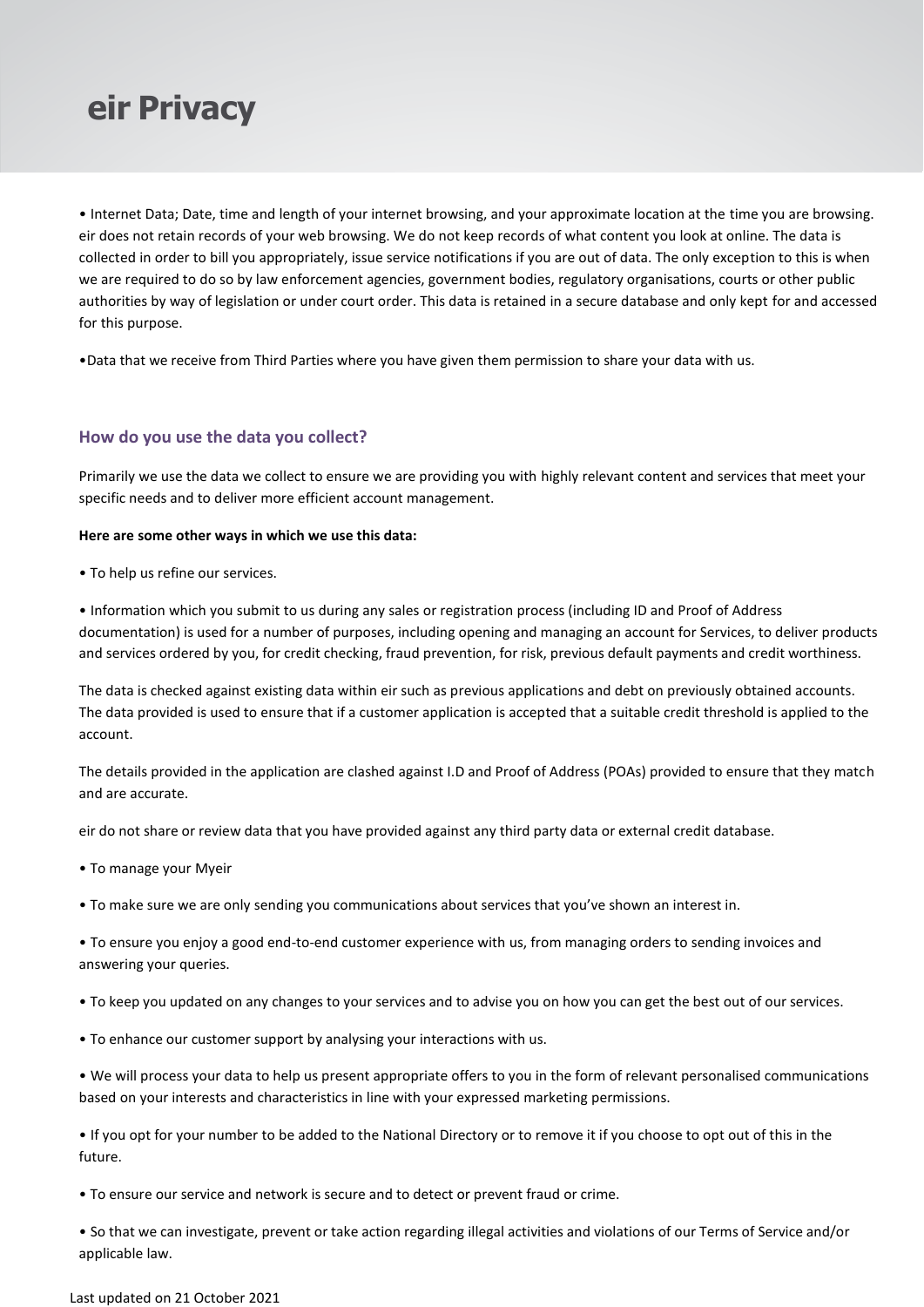

• Internet Data; Date, time and length of your internet browsing, and your approximate location at the time you are browsing. eir does not retain records of your web browsing. We do not keep records of what content you look at online. The data is collected in order to bill you appropriately, issue service notifications if you are out of data. The only exception to this is when we are required to do so by law enforcement agencies, government bodies, regulatory organisations, courts or other public authorities by way of legislation or under court order. This data is retained in a secure database and only kept for and accessed for this purpose.

•Data that we receive from Third Parties where you have given them permission to share your data with us.

## **How do you use the data you collect?**

Primarily we use the data we collect to ensure we are providing you with highly relevant content and services that meet your specific needs and to deliver more efficient account management.

#### **Here are some other ways in which we use this data:**

• To help us refine our services.

• Information which you submit to us during any sales or registration process (including ID and Proof of Address documentation) is used for a number of purposes, including opening and managing an account for Services, to deliver products and services ordered by you, for credit checking, fraud prevention, for risk, previous default payments and credit worthiness.

The data is checked against existing data within eir such as previous applications and debt on previously obtained accounts. The data provided is used to ensure that if a customer application is accepted that a suitable credit threshold is applied to the account.

The details provided in the application are clashed against I.D and Proof of Address (POAs) provided to ensure that they match and are accurate.

eir do not share or review data that you have provided against any third party data or external credit database.

- To manage your Myeir
- To make sure we are only sending you communications about services that you've shown an interest in.

• To ensure you enjoy a good end-to-end customer experience with us, from managing orders to sending invoices and answering your queries.

- To keep you updated on any changes to your services and to advise you on how you can get the best out of our services.
- To enhance our customer support by analysing your interactions with us.

• We will process your data to help us present appropriate offers to you in the form of relevant personalised communications based on your interests and characteristics in line with your expressed marketing permissions.

• If you opt for your number to be added to the National Directory or to remove it if you choose to opt out of this in the future.

• To ensure our service and network is secure and to detect or prevent fraud or crime.

• So that we can investigate, prevent or take action regarding illegal activities and violations of our Terms of Service and/or applicable law.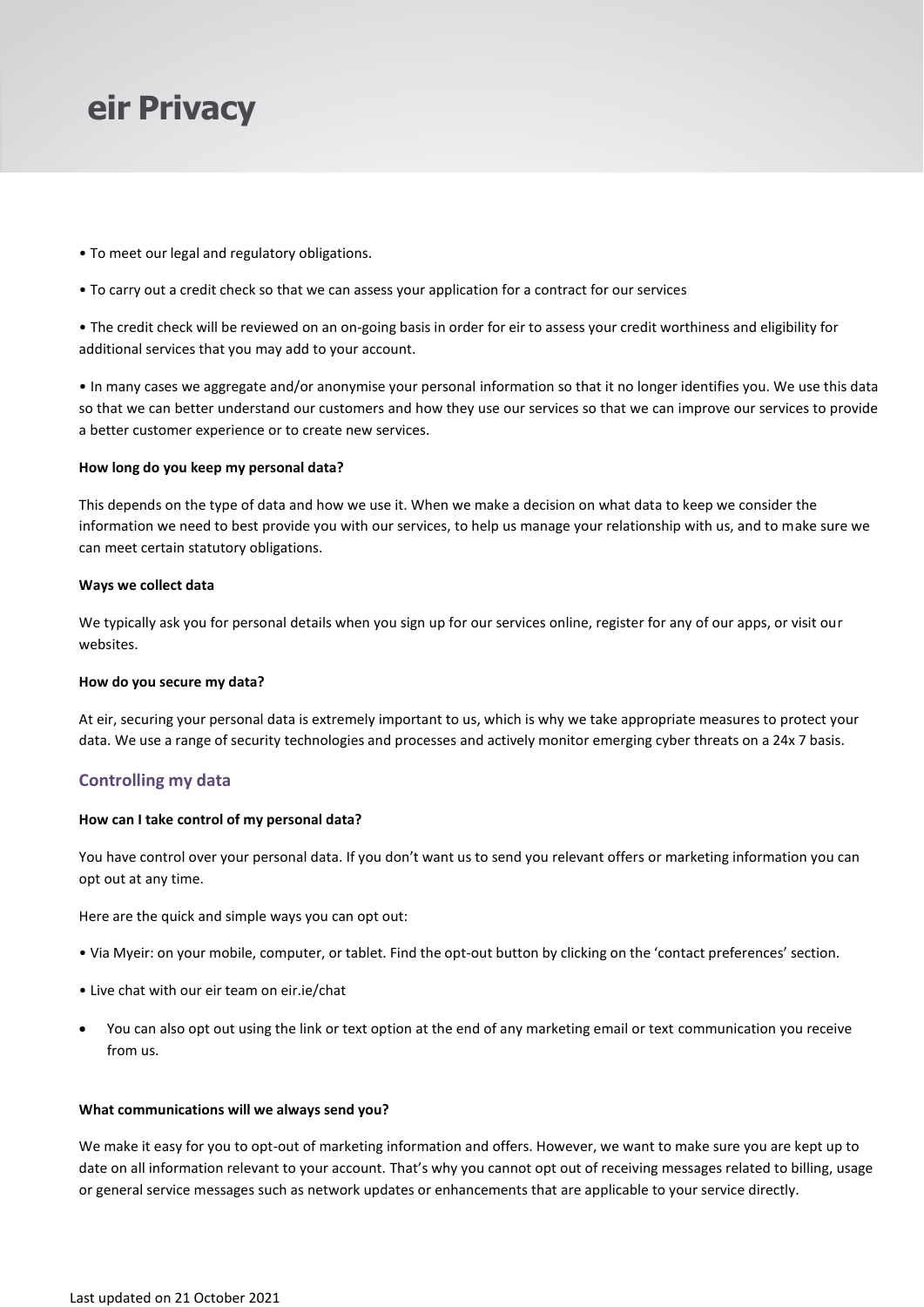- To meet our legal and regulatory obligations.
- To carry out a credit check so that we can assess your application for a contract for our services

• The credit check will be reviewed on an on-going basis in order for eir to assess your credit worthiness and eligibility for additional services that you may add to your account.

• In many cases we aggregate and/or anonymise your personal information so that it no longer identifies you. We use this data so that we can better understand our customers and how they use our services so that we can improve our services to provide a better customer experience or to create new services.

### **How long do you keep my personal data?**

This depends on the type of data and how we use it. When we make a decision on what data to keep we consider the information we need to best provide you with our services, to help us manage your relationship with us, and to make sure we can meet certain statutory obligations.

### **Ways we collect data**

We typically ask you for personal details when you sign up for our services online, register for any of our apps, or visit our websites.

### **How do you secure my data?**

At eir, securing your personal data is extremely important to us, which is why we take appropriate measures to protect your data. We use a range of security technologies and processes and actively monitor emerging cyber threats on a 24x 7 basis.

## **Controlling my data**

### **How can I take control of my personal data?**

You have control over your personal data. If you don't want us to send you relevant offers or marketing information you can opt out at any time.

Here are the quick and simple ways you can opt out:

- Via Myeir: on your mobile, computer, or tablet. Find the opt-out button by clicking on the 'contact preferences' section.
- Live chat with our eir team on eir.ie/chat
- You can also opt out using the link or text option at the end of any marketing email or text communication you receive from us.

## **What communications will we always send you?**

We make it easy for you to opt-out of marketing information and offers. However, we want to make sure you are kept up to date on all information relevant to your account. That's why you cannot opt out of receiving messages related to billing, usage or general service messages such as network updates or enhancements that are applicable to your service directly.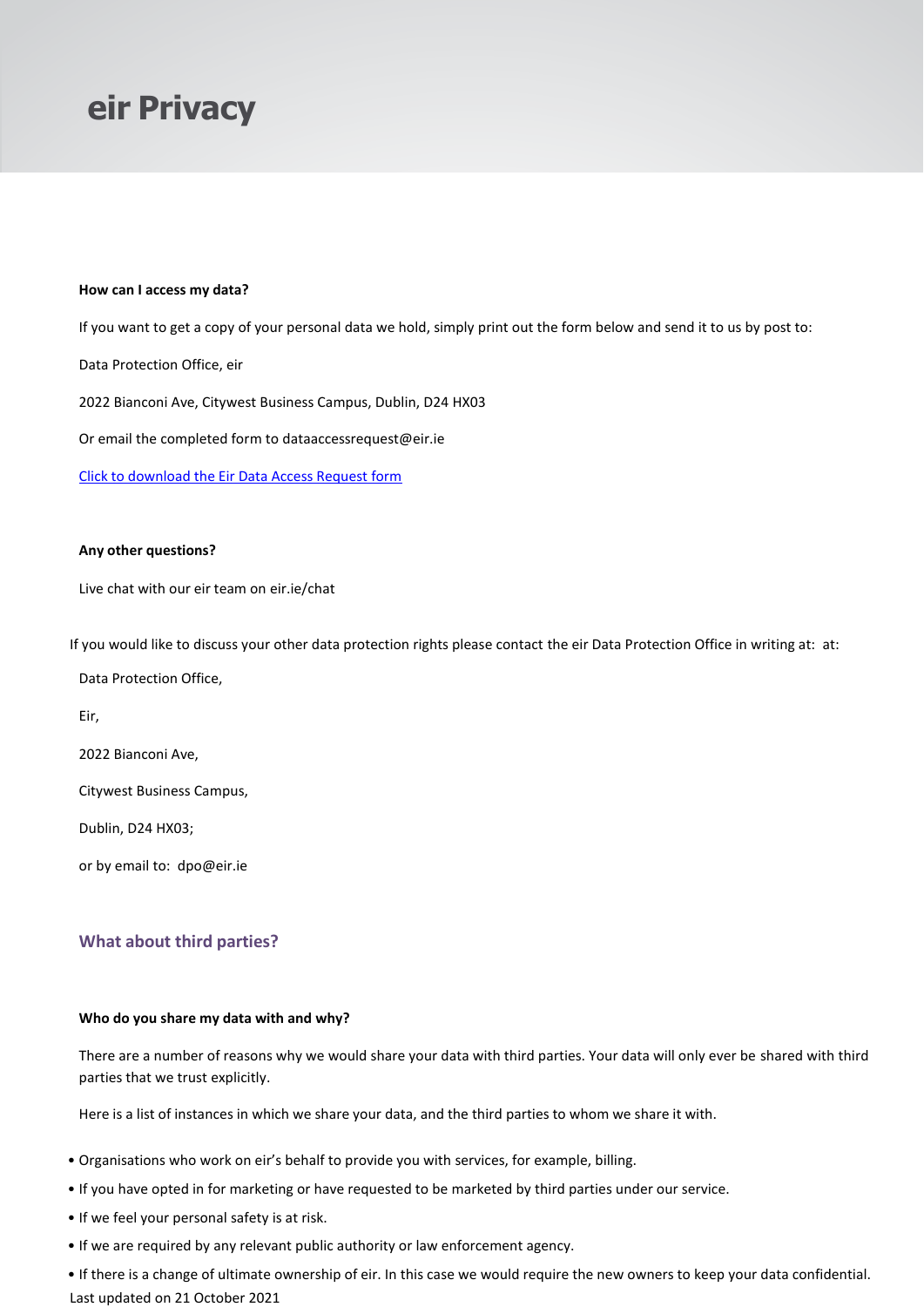### **How can I access my data?**

If you want to get a copy of your personal data we hold, simply print out the form below and send it to us by post to:

Data Protection Office, eir

2022 Bianconi Ave, Citywest Business Campus, Dublin, D24 HX03

Or email the completed form to [dataaccessrequest@eir.ie](mailto:dataaccessrequest@eir.ie)

Click to [download](https://www.eir.ie/.content/pdf/privacy/eirSubjectRightsRequestForm.pdf) the Eir Data Access Request form

### **Any other questions?**

Live chat with our eir team on eir.ie/chat

If you would like to discuss your other data protection rights please contact the eir Data Protection Office in writing at: at:

Data Protection Office,

Eir,

2022 Bianconi Ave,

Citywest Business Campus,

Dublin, D24 HX03;

or by email to: [dpo@eir.ie](mailto:dpo@eir.ie)

## **What about third parties?**

### **Who do you share my data with and why?**

There are a number of reasons why we would share your data with third parties. Your data will only ever be shared with third parties that we trust explicitly.

Here is a list of instances in which we share your data, and the third parties to whom we share it with.

- Organisations who work on eir's behalf to provide you with services, for example, billing.
- If you have opted in for marketing or have requested to be marketed by third parties under our service.
- If we feel your personal safety is at risk.
- If we are required by any relevant public authority or law enforcement agency.

Last updated on 21 October 2021 • If there is a change of ultimate ownership of eir. In this case we would require the new owners to keep your data confidential.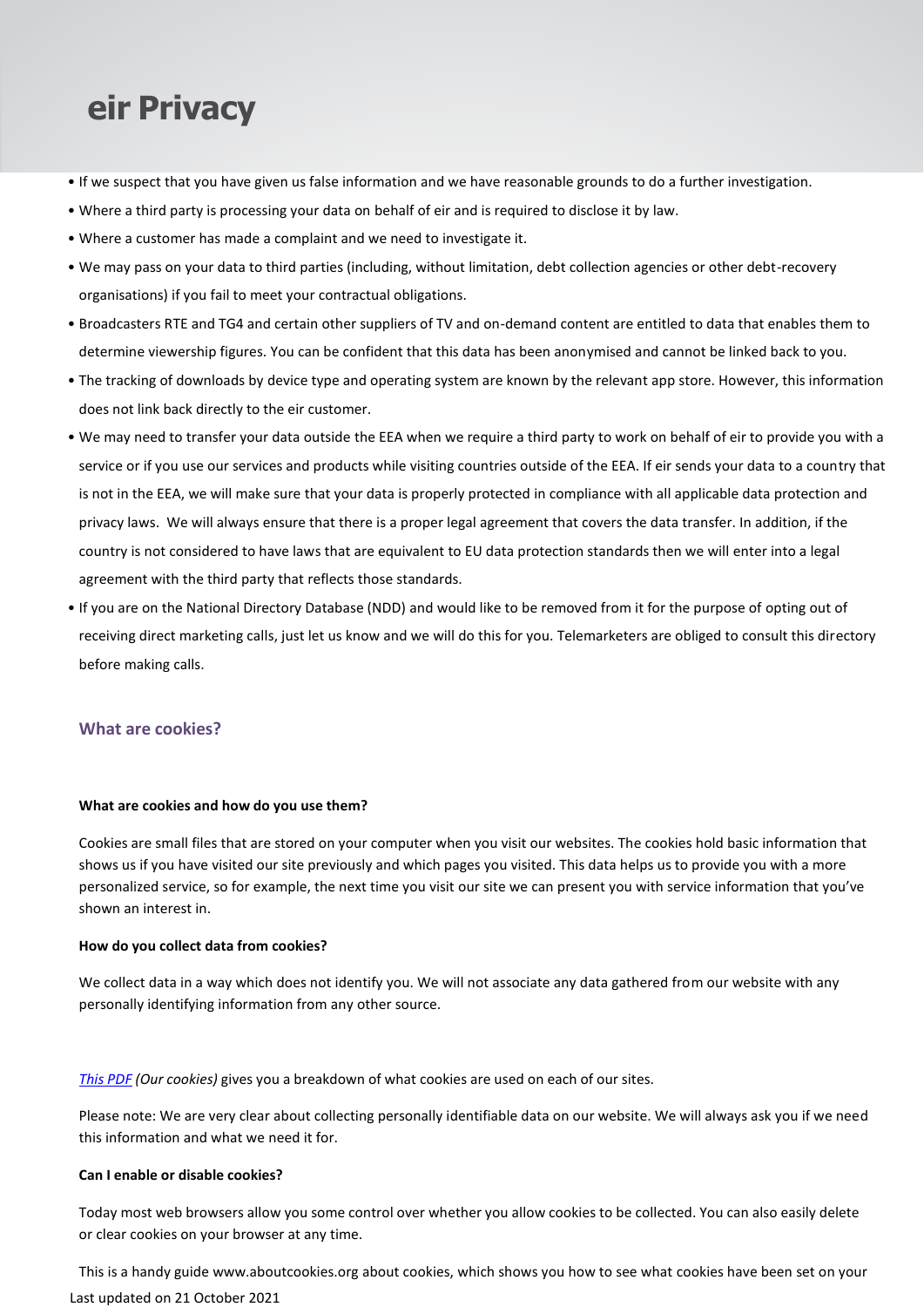- If we suspect that you have given us false information and we have reasonable grounds to do a further investigation.
- Where a third party is processing your data on behalf of eir and is required to disclose it by law.
- Where a customer has made a complaint and we need to investigate it.
- We may pass on your data to third parties (including, without limitation, debt collection agencies or other debt-recovery organisations) if you fail to meet your contractual obligations.
- Broadcasters RTE and TG4 and certain other suppliers of TV and on-demand content are entitled to data that enables them to determine viewership figures. You can be confident that this data has been anonymised and cannot be linked back to you.
- The tracking of downloads by device type and operating system are known by the relevant app store. However, this information does not link back directly to the eir customer.
- We may need to transfer your data outside the EEA when we require a third party to work on behalf of eir to provide you with a service or if you use our services and products while visiting countries outside of the EEA. If eir sends your data to a country that is not in the EEA, we will make sure that your data is properly protected in compliance with all applicable data protection and privacy laws. We will always ensure that there is a proper legal agreement that covers the data transfer. In addition, if the country is not considered to have laws that are equivalent to EU data protection standards then we will enter into a legal agreement with the third party that reflects those standards.
- If you are on the National Directory Database (NDD) and would like to be removed from it for the purpose of opting out of receiving direct marketing calls, just let us know and we will do this for you. Telemarketers are obliged to consult this directory before making calls.

## **What are cookies?**

### **What are cookies and how do you use them?**

Cookies are small files that are stored on your computer when you visit our websites. The cookies hold basic information that shows us if you have visited our site previously and which pages you visited. This data helps us to provide you with a more personalized service, so for example, the next time you visit our site we can present you with service information that you've shown an interest in.

### **How do you collect data from cookies?**

We collect data in a way which does not identify you. We will not associate any data gathered from our website with any personally identifying information from any other source.

*[This](https://www.eir.ie/.content/pdf/privacy/eir_ie_cookies.pdf) PDF (Our cookies)* gives you a breakdown of what cookies are used on each of our sites.

Please note: We are very clear about collecting personally identifiable data on our website. We will always ask you if we need this information and what we need it for.

### **Can I enable or disable cookies?**

Today most web browsers allow you some control over whether you allow cookies to be collected. You can also easily delete or clear cookies on your browser at any time.

Last updated on 21 October 2021 This is a handy guide [www.aboutcookies.org a](http://www.aboutcookies.org/)bout cookies, which shows you how to see what cookies have been set on your